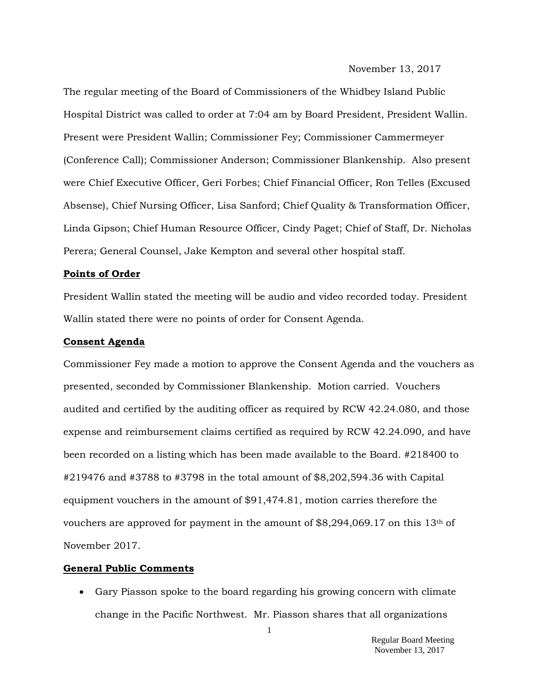November 13, 2017

The regular meeting of the Board of Commissioners of the Whidbey Island Public Hospital District was called to order at 7:04 am by Board President, President Wallin. Present were President Wallin; Commissioner Fey; Commissioner Cammermeyer (Conference Call); Commissioner Anderson; Commissioner Blankenship. Also present were Chief Executive Officer, Geri Forbes; Chief Financial Officer, Ron Telles (Excused Absense), Chief Nursing Officer, Lisa Sanford; Chief Quality & Transformation Officer, Linda Gipson; Chief Human Resource Officer, Cindy Paget; Chief of Staff, Dr. Nicholas Perera; General Counsel, Jake Kempton and several other hospital staff.

#### **Points of Order**

President Wallin stated the meeting will be audio and video recorded today. President Wallin stated there were no points of order for Consent Agenda.

### **Consent Agenda**

Commissioner Fey made a motion to approve the Consent Agenda and the vouchers as presented, seconded by Commissioner Blankenship. Motion carried. Vouchers audited and certified by the auditing officer as required by RCW 42.24.080, and those expense and reimbursement claims certified as required by RCW 42.24.090, and have been recorded on a listing which has been made available to the Board. #218400 to #219476 and #3788 to #3798 in the total amount of \$8,202,594.36 with Capital equipment vouchers in the amount of \$91,474.81, motion carries therefore the vouchers are approved for payment in the amount of \$8,294,069.17 on this 13th of November 2017.

### **General Public Comments**

 Gary Piasson spoke to the board regarding his growing concern with climate change in the Pacific Northwest. Mr. Piasson shares that all organizations

> Regular Board Meeting November 13, 2017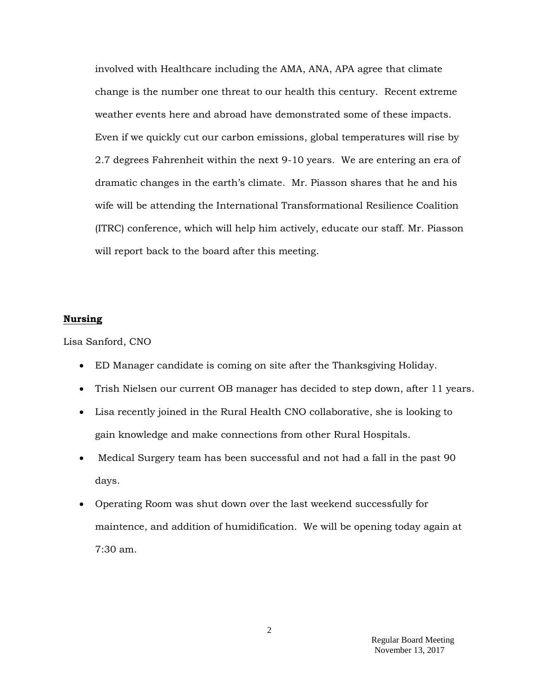involved with Healthcare including the AMA, ANA, APA agree that climate change is the number one threat to our health this century. Recent extreme weather events here and abroad have demonstrated some of these impacts. Even if we quickly cut our carbon emissions, global temperatures will rise by 2.7 degrees Fahrenheit within the next 9-10 years. We are entering an era of dramatic changes in the earth's climate. Mr. Piasson shares that he and his wife will be attending the International Transformational Resilience Coalition (ITRC) conference, which will help him actively, educate our staff. Mr. Piasson will report back to the board after this meeting.

#### **Nursing**

Lisa Sanford, CNO

- ED Manager candidate is coming on site after the Thanksgiving Holiday.
- Trish Nielsen our current OB manager has decided to step down, after 11 years.
- Lisa recently joined in the Rural Health CNO collaborative, she is looking to gain knowledge and make connections from other Rural Hospitals.
- Medical Surgery team has been successful and not had a fall in the past 90 days.
- Operating Room was shut down over the last weekend successfully for maintence, and addition of humidification. We will be opening today again at 7:30 am.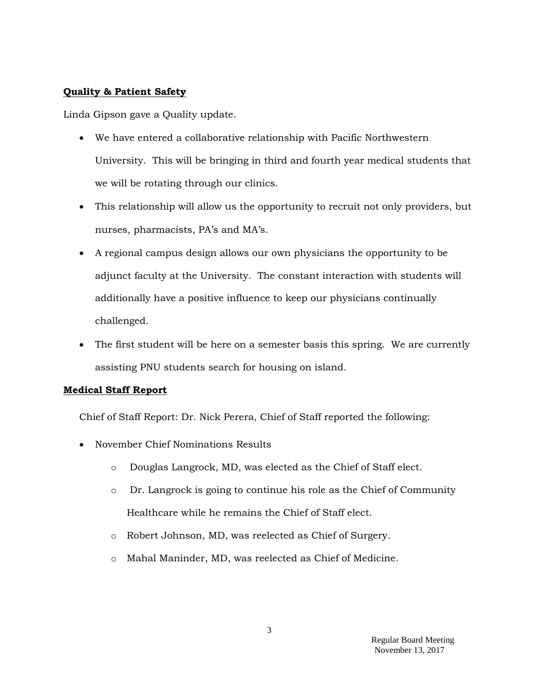## **Quality & Patient Safety**

Linda Gipson gave a Quality update.

- We have entered a collaborative relationship with Pacific Northwestern University. This will be bringing in third and fourth year medical students that we will be rotating through our clinics.
- This relationship will allow us the opportunity to recruit not only providers, but nurses, pharmacists, PA's and MA's.
- A regional campus design allows our own physicians the opportunity to be adjunct faculty at the University. The constant interaction with students will additionally have a positive influence to keep our physicians continually challenged.
- The first student will be here on a semester basis this spring. We are currently assisting PNU students search for housing on island.

# **Medical Staff Report**

Chief of Staff Report: Dr. Nick Perera, Chief of Staff reported the following:

- November Chief Nominations Results
	- o Douglas Langrock, MD, was elected as the Chief of Staff elect.
	- o Dr. Langrock is going to continue his role as the Chief of Community Healthcare while he remains the Chief of Staff elect.
	- o Robert Johnson, MD, was reelected as Chief of Surgery.
	- o Mahal Maninder, MD, was reelected as Chief of Medicine.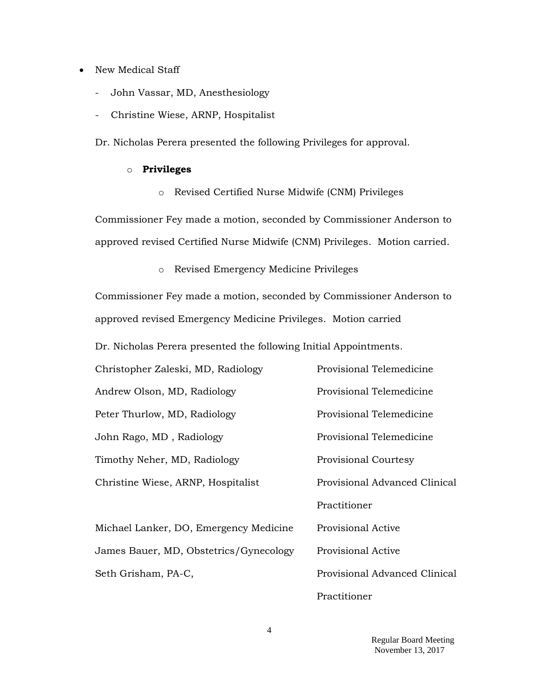- New Medical Staff
	- John Vassar, MD, Anesthesiology
	- Christine Wiese, ARNP, Hospitalist

Dr. Nicholas Perera presented the following Privileges for approval.

### o **Privileges**

o Revised Certified Nurse Midwife (CNM) Privileges

Commissioner Fey made a motion, seconded by Commissioner Anderson to approved revised Certified Nurse Midwife (CNM) Privileges. Motion carried.

o Revised Emergency Medicine Privileges

Commissioner Fey made a motion, seconded by Commissioner Anderson to approved revised Emergency Medicine Privileges. Motion carried

Dr. Nicholas Perera presented the following Initial Appointments.

| Provisional Telemedicine      |
|-------------------------------|
| Provisional Telemedicine      |
| Provisional Telemedicine      |
| Provisional Telemedicine      |
| <b>Provisional Courtesy</b>   |
| Provisional Advanced Clinical |
| Practitioner                  |
| <b>Provisional Active</b>     |
| Provisional Active            |
| Provisional Advanced Clinical |
|                               |

Practitioner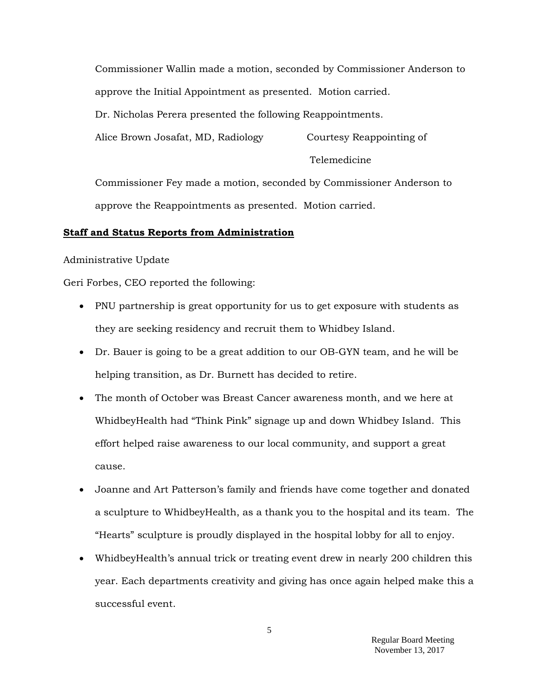Commissioner Wallin made a motion, seconded by Commissioner Anderson to approve the Initial Appointment as presented. Motion carried. Dr. Nicholas Perera presented the following Reappointments. Alice Brown Josafat, MD, Radiology Courtesy Reappointing of

Telemedicine

Commissioner Fey made a motion, seconded by Commissioner Anderson to approve the Reappointments as presented. Motion carried.

## **Staff and Status Reports from Administration**

Administrative Update

Geri Forbes, CEO reported the following:

- PNU partnership is great opportunity for us to get exposure with students as they are seeking residency and recruit them to Whidbey Island.
- Dr. Bauer is going to be a great addition to our OB-GYN team, and he will be helping transition, as Dr. Burnett has decided to retire.
- The month of October was Breast Cancer awareness month, and we here at WhidbeyHealth had "Think Pink" signage up and down Whidbey Island. This effort helped raise awareness to our local community, and support a great cause.
- Joanne and Art Patterson's family and friends have come together and donated a sculpture to WhidbeyHealth, as a thank you to the hospital and its team. The "Hearts" sculpture is proudly displayed in the hospital lobby for all to enjoy.
- WhidbeyHealth's annual trick or treating event drew in nearly 200 children this year. Each departments creativity and giving has once again helped make this a successful event.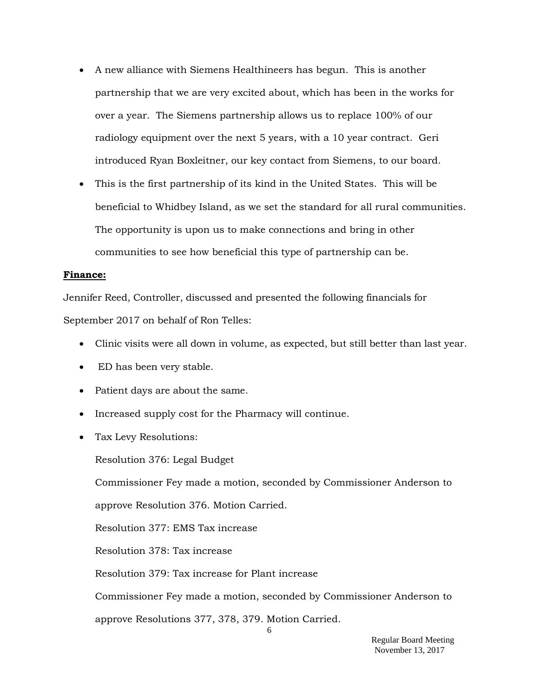- A new alliance with Siemens Healthineers has begun. This is another partnership that we are very excited about, which has been in the works for over a year. The Siemens partnership allows us to replace 100% of our radiology equipment over the next 5 years, with a 10 year contract. Geri introduced Ryan Boxleitner, our key contact from Siemens, to our board.
- This is the first partnership of its kind in the United States. This will be beneficial to Whidbey Island, as we set the standard for all rural communities. The opportunity is upon us to make connections and bring in other communities to see how beneficial this type of partnership can be.

## **Finance:**

Jennifer Reed, Controller, discussed and presented the following financials for September 2017 on behalf of Ron Telles:

- Clinic visits were all down in volume, as expected, but still better than last year.
- ED has been very stable.
- Patient days are about the same.
- Increased supply cost for the Pharmacy will continue.
- Tax Levy Resolutions:

Resolution 376: Legal Budget

Commissioner Fey made a motion, seconded by Commissioner Anderson to

approve Resolution 376. Motion Carried.

Resolution 377: EMS Tax increase

Resolution 378: Tax increase

Resolution 379: Tax increase for Plant increase

Commissioner Fey made a motion, seconded by Commissioner Anderson to

approve Resolutions 377, 378, 379. Motion Carried.

6